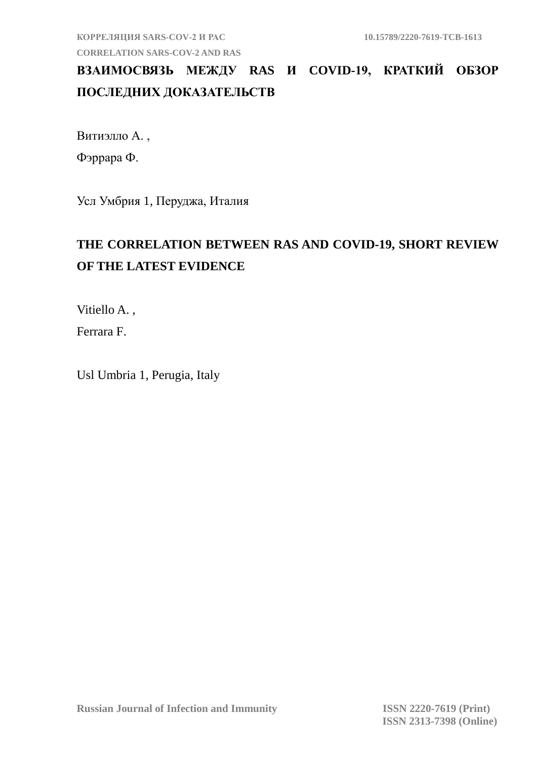**КОРРЕЛЯЦИЯ SARS-COV-2 И РАC 10.15789/2220-7619-TCB-1613 CORRELATION SARS-COV-2 AND RAS**

## **ВЗАИМОСВЯЗЬ МЕЖДУ RAS И COVID-19, КРАТКИЙ ОБЗОР ПОСЛЕДНИХ ДОКАЗАТЕЛЬСТВ**

Витиэлло А. , Фэррара Ф.

Усл Умбрия 1, Перуджа, Италия

## **THE CORRELATION BETWEEN RAS AND COVID-19, SHORT REVIEW OF THE LATEST EVIDENCE**

Vitiello A. ,

Ferrara F.

Usl Umbria 1, Perugia, Italy

**Russian Journal of Infection and Immunity ISSN 2220-7619 (Print)**

 **ISSN 2313-7398 (Online)**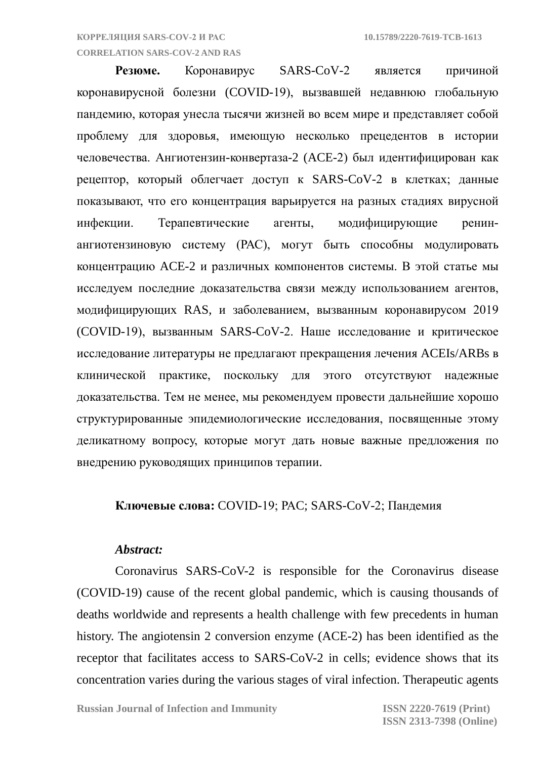#### **CORRELATION SARS-COV-2 AND RAS**

**Резюме.** Коронавирус SARS-CoV-2 является причиной коронавирусной болезни (COVID-19), вызвавшей недавнюю глобальную пандемию, которая унесла тысячи жизней во всем мире и представляет собой проблему для здоровья, имеющую несколько прецедентов в истории человечества. Ангиотензин-конвертаза-2 (ACE-2) был идентифицирован как рецептор, который облегчает доступ к SARS-CoV-2 в клетках; данные показывают, что его концентрация варьируется на разных стадиях вирусной инфекции. Терапевтические агенты, модифицирующие ренинангиотензиновую систему (РАС), могут быть способны модулировать концентрацию ACE-2 и различных компонентов системы. В этой статье мы исследуем последние доказательства связи между использованием агентов, модифицирующих RAS, и заболеванием, вызванным коронавирусом 2019 (COVID-19), вызванным SARS-CoV-2. Наше исследование и критическое исследование литературы не предлагают прекращения лечения ACEIs/ARBs в клинической практике, поскольку для этого отсутствуют надежные доказательства. Тем не менее, мы рекомендуем провести дальнейшие хорошо структурированные эпидемиологические исследования, посвященные этому деликатному вопросу, которые могут дать новые важные предложения по внедрению руководящих принципов терапии.

### **Ключевые слова:** COVID-19; РАC; SARS-CoV-2; Пандемия

### *Abstract:*

Coronavirus SARS-CoV-2 is responsible for the Coronavirus disease (COVID-19) cause of the recent global pandemic, which is causing thousands of deaths worldwide and represents a health challenge with few precedents in human history. The angiotensin 2 conversion enzyme (ACE-2) has been identified as the receptor that facilitates access to SARS-CoV-2 in cells; evidence shows that its concentration varies during the various stages of viral infection. Therapeutic agents

**Russian Journal of Infection and Immunity ISSN 2220-7619 (Print)**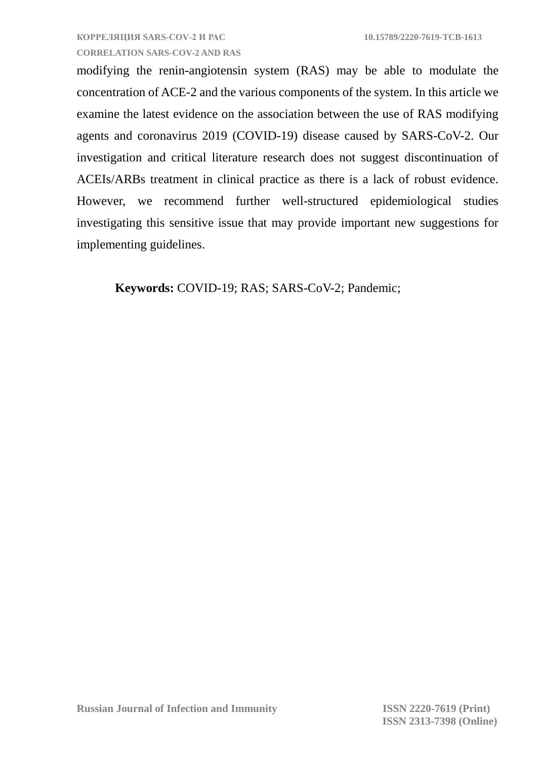**CORRELATION SARS-COV-2 AND RAS** modifying the renin-angiotensin system (RAS) may be able to modulate the concentration of ACE-2 and the various components of the system. In this article we examine the latest evidence on the association between the use of RAS modifying agents and coronavirus 2019 (COVID-19) disease caused by SARS-CoV-2. Our investigation and critical literature research does not suggest discontinuation of ACEIs/ARBs treatment in clinical practice as there is a lack of robust evidence.

However, we recommend further well-structured epidemiological studies investigating this sensitive issue that may provide important new suggestions for implementing guidelines.

**Keywords:** COVID-19; RAS; SARS-CoV-2; Pandemic;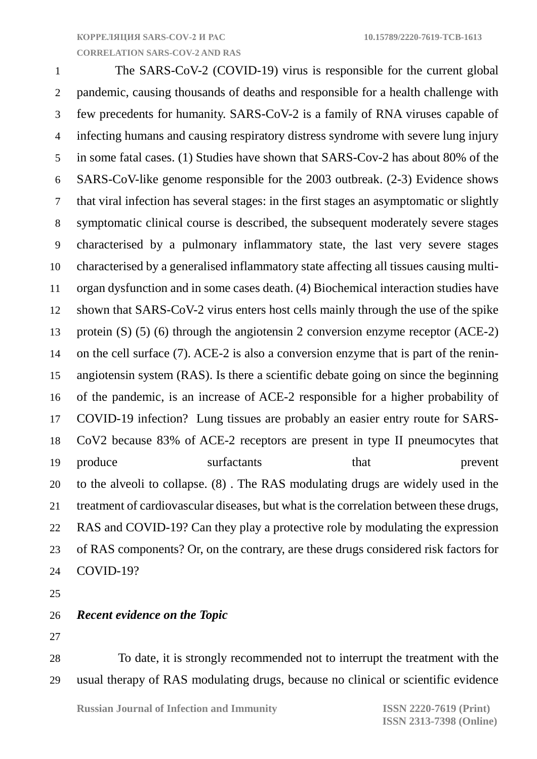**CORRELATION SARS-COV-2 AND RAS**

 The SARS-CoV-2 (COVID-19) virus is responsible for the current global pandemic, causing thousands of deaths and responsible for a health challenge with few precedents for humanity. SARS-CoV-2 is a family of RNA viruses capable of infecting humans and causing respiratory distress syndrome with severe lung injury in some fatal cases. (1) Studies have shown that SARS-Cov-2 has about 80% of the SARS-CoV-like genome responsible for the 2003 outbreak. (2-3) Evidence shows that viral infection has several stages: in the first stages an asymptomatic or slightly symptomatic clinical course is described, the subsequent moderately severe stages characterised by a pulmonary inflammatory state, the last very severe stages characterised by a generalised inflammatory state affecting all tissues causing multi- organ dysfunction and in some cases death. (4) Biochemical interaction studies have shown that SARS-CoV-2 virus enters host cells mainly through the use of the spike protein (S) (5) (6) through the angiotensin 2 conversion enzyme receptor (ACE-2) on the cell surface (7). ACE-2 is also a conversion enzyme that is part of the renin- angiotensin system (RAS). Is there a scientific debate going on since the beginning of the pandemic, is an increase of ACE-2 responsible for a higher probability of COVID-19 infection? Lung tissues are probably an easier entry route for SARS- CoV2 because 83% of ACE-2 receptors are present in type II pneumocytes that 19 produce surfactants that prevent to the alveoli to collapse. (8) . The RAS modulating drugs are widely used in the treatment of cardiovascular diseases, but what is the correlation between these drugs, RAS and COVID-19? Can they play a protective role by modulating the expression of RAS components? Or, on the contrary, are these drugs considered risk factors for COVID-19?

#### *Recent evidence on the Topic*

 To date, it is strongly recommended not to interrupt the treatment with the usual therapy of RAS modulating drugs, because no clinical or scientific evidence

**Russian Journal of Infection and Immunity ISSN 2220-7619 (Print)**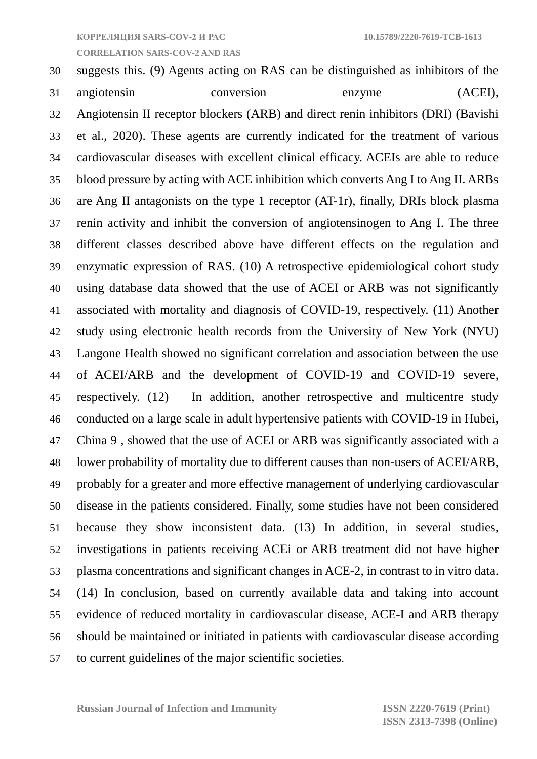**CORRELATION SARS-COV-2 AND RAS**

# suggests this. (9) Agents acting on RAS can be distinguished as inhibitors of the angiotensin conversion enzyme (ACEI), Angiotensin II receptor blockers (ARB) and direct renin inhibitors (DRI) (Bavishi et al., 2020). These agents are currently indicated for the treatment of various cardiovascular diseases with excellent clinical efficacy. ACEIs are able to reduce blood pressure by acting with ACE inhibition which converts Ang I to Ang II. ARBs are Ang II antagonists on the type 1 receptor (AT-1r), finally, DRIs block plasma renin activity and inhibit the conversion of angiotensinogen to Ang I. The three different classes described above have different effects on the regulation and enzymatic expression of RAS. (10) A retrospective epidemiological cohort study using database data showed that the use of ACEI or ARB was not significantly associated with mortality and diagnosis of COVID-19, respectively. (11) Another study using electronic health records from the University of New York (NYU) Langone Health showed no significant correlation and association between the use of ACEI/ARB and the development of COVID-19 and COVID-19 severe, respectively. (12) In addition, another retrospective and multicentre study conducted on a large scale in adult hypertensive patients with COVID-19 in Hubei, China 9 , showed that the use of ACEI or ARB was significantly associated with a lower probability of mortality due to different causes than non-users of ACEI/ARB, probably for a greater and more effective management of underlying cardiovascular disease in the patients considered. Finally, some studies have not been considered because they show inconsistent data. (13) In addition, in several studies, investigations in patients receiving ACEi or ARB treatment did not have higher plasma concentrations and significant changes in ACE-2, in contrast to in vitro data. (14) In conclusion, based on currently available data and taking into account evidence of reduced mortality in cardiovascular disease, ACE-I and ARB therapy should be maintained or initiated in patients with cardiovascular disease according to current guidelines of the major scientific societies.

**Russian Journal of Infection and Immunity ISSN 2220-7619 (Print)**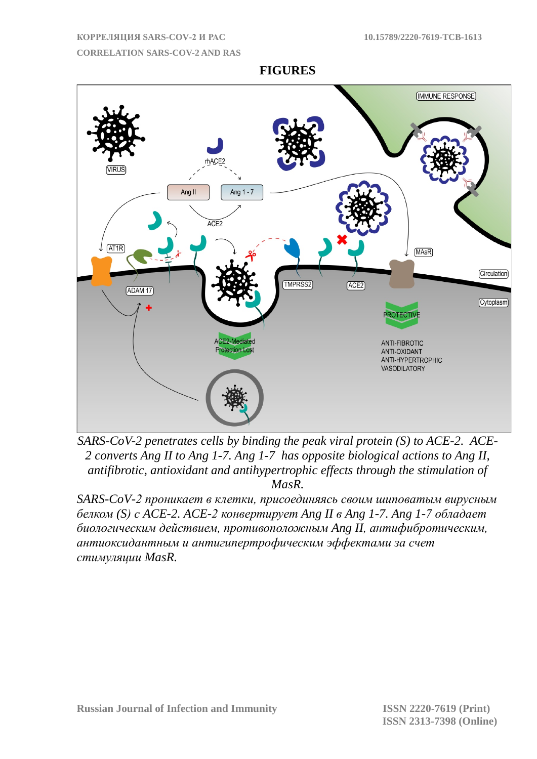#### **CORRELATION SARS-COV-2 AND RAS**

**IMMUNE RESPONSE** Ang 1 - 7 Ang II ACE2  $AT1R$ (MAsR) **Circulation** TMPRSS2  $ACE2$ **ADAM 17** Cytoplasm **PROTECTI** ACE2-Mediated ANTI-FIRROTIC **Protection Lost** ANTI-OXIDANT ANTI-HYPERTROPHIC **VASODILATORY** 

**FIGURES**

*SARS-CoV-2 penetrates cells by binding the peak viral protein (S) to ACE-2. ACE-2 converts Ang II to Ang 1-7. Ang 1-7 has opposite biological actions to Ang II, antifibrotic, antioxidant and antihypertrophic effects through the stimulation of MasR.*

*SARS-CoV-2 проникает в клетки, присоединяясь своим шиповатым вирусным белком (S) с ACE-2. ACE-2 конвертирует Ang II в Ang 1-7. Ang 1-7 обладает биологическим действием, противоположным Ang II, антифибротическим, антиоксидантным и антигипертрофическим эффектами за счет стимуляции MasR.*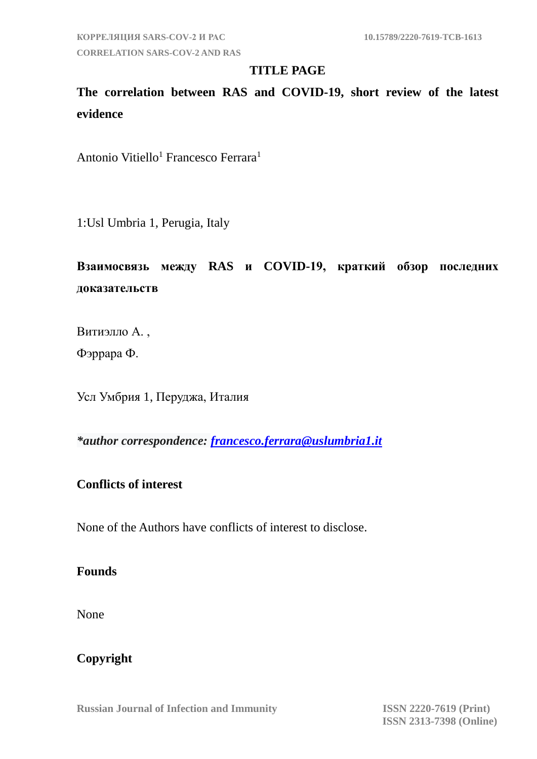**CORRELATION SARS-COV-2 AND RAS**

## **TITLE PAGE**

**The correlation between RAS and COVID-19, short review of the latest evidence**

Antonio Vitiello<sup>1</sup> Francesco Ferrara<sup>1</sup>

1:Usl Umbria 1, Perugia, Italy

**Взаимосвязь между RAS и COVID-19, краткий обзор последних доказательств**

Витиэлло А. ,

Фэррара Ф.

Усл Умбрия 1, Перуджа, Италия

*\*author correspondence: [francesco.ferrara@uslumbria1.it](mailto:francesco.ferrara@uslumbria1.it)*

## **Conflicts of interest**

None of the Authors have conflicts of interest to disclose.

## **Founds**

None

## **Copyright**

**Russian Journal of Infection and Immunity ISSN 2220-7619 (Print)**

 **ISSN 2313-7398 (Online)**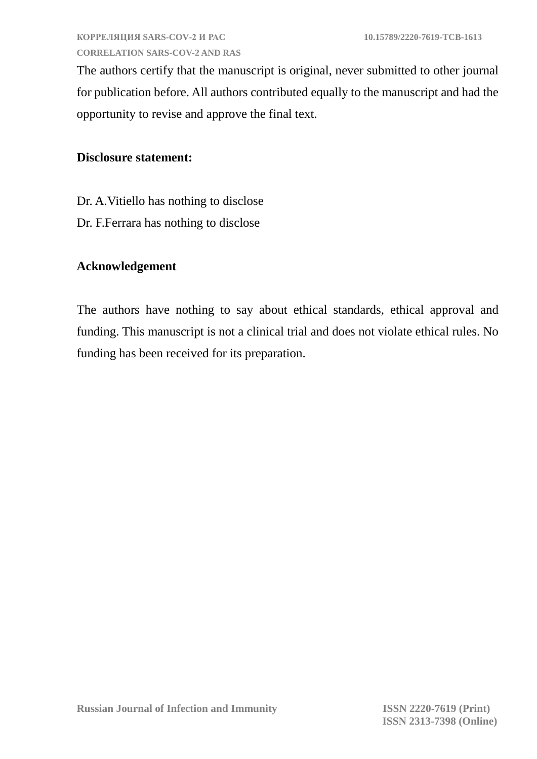The authors certify that the manuscript is original, never submitted to other journal for publication before. All authors contributed equally to the manuscript and had the opportunity to revise and approve the final text.

## **Disclosure statement:**

- Dr. A.Vitiello has nothing to disclose
- Dr. F.Ferrara has nothing to disclose

## **Acknowledgement**

The authors have nothing to say about ethical standards, ethical approval and funding. This manuscript is not a clinical trial and does not violate ethical rules. No funding has been received for its preparation.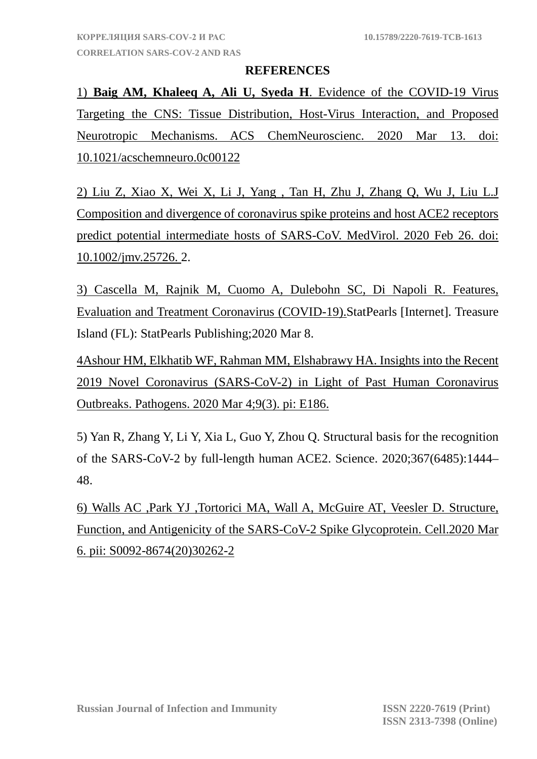#### **REFERENCES**

1) **[Baig AM,](https://www.ncbi.nlm.nih.gov/pubmed/?term=Baig%20AM%5BAuthor%5D&cauthor=true&cauthor_uid=32167747) [Khaleeq A,](https://www.ncbi.nlm.nih.gov/pubmed/?term=Khaleeq%20A%5BAuthor%5D&cauthor=true&cauthor_uid=32167747) [Ali U,](https://www.ncbi.nlm.nih.gov/pubmed/?term=Ali%20U%5BAuthor%5D&cauthor=true&cauthor_uid=32167747) [Syeda H](https://www.ncbi.nlm.nih.gov/pubmed/?term=Syeda%20H%5BAuthor%5D&cauthor=true&cauthor_uid=32167747)**. Evidence of the COVID-19 Virus Targeting the CNS: Tissue Distribution, Host-Virus Interaction, and Proposed Neurotropic Mechanisms. ACS ChemNeuroscienc. 2020 Mar 13. doi: 10.1021/acschemneuro.0c00122

2) [Liu Z,](https://www.ncbi.nlm.nih.gov/pubmed/?term=Liu%20Z%5BAuthor%5D&cauthor=true&cauthor_uid=32100877) [Xiao X,](https://www.ncbi.nlm.nih.gov/pubmed/?term=Xiao%20X%5BAuthor%5D&cauthor=true&cauthor_uid=32100877) [Wei X,](https://www.ncbi.nlm.nih.gov/pubmed/?term=Wei%20X%5BAuthor%5D&cauthor=true&cauthor_uid=32100877) [Li J,](https://www.ncbi.nlm.nih.gov/pubmed/?term=Li%20J%5BAuthor%5D&cauthor=true&cauthor_uid=32100877) [Yang ,](https://www.ncbi.nlm.nih.gov/pubmed/?term=Yang%20J%5BAuthor%5D&cauthor=true&cauthor_uid=32100877) [Tan H,](https://www.ncbi.nlm.nih.gov/pubmed/?term=Tan%20H%5BAuthor%5D&cauthor=true&cauthor_uid=32100877) [Zhu J,](https://www.ncbi.nlm.nih.gov/pubmed/?term=Zhu%20J%5BAuthor%5D&cauthor=true&cauthor_uid=32100877) [Zhang Q,](https://www.ncbi.nlm.nih.gov/pubmed/?term=Zhang%20Q%5BAuthor%5D&cauthor=true&cauthor_uid=32100877) [Wu J,](https://www.ncbi.nlm.nih.gov/pubmed/?term=Wu%20J%5BAuthor%5D&cauthor=true&cauthor_uid=32100877) [Liu L](https://www.ncbi.nlm.nih.gov/pubmed/?term=Liu%20L%5BAuthor%5D&cauthor=true&cauthor_uid=32100877)[.J](https://www.ncbi.nlm.nih.gov/pubmed/32100877)  [Composition and divergence of coronavirus spike proteins and host ACE2 receptors](https://www.ncbi.nlm.nih.gov/pubmed/32100877)  [predict potential intermediate hosts of SARS-CoV. MedVirol.](https://www.ncbi.nlm.nih.gov/pubmed/32100877) 2020 Feb 26. doi: 10.1002/jmv.25726. 2.

3) [Cascella M,](https://www.ncbi.nlm.nih.gov/pubmed?term=Cascella%20M%5BAuthor%5D&cauthor=true&cauthor_uid=32150360) [Rajnik M,](https://www.ncbi.nlm.nih.gov/pubmed?term=Rajnik%20M%5BAuthor%5D&cauthor=true&cauthor_uid=32150360) [Cuomo A,](https://www.ncbi.nlm.nih.gov/pubmed?term=Cuomo%20A%5BAuthor%5D&cauthor=true&cauthor_uid=32150360) [Dulebohn SC,](https://www.ncbi.nlm.nih.gov/pubmed?term=Dulebohn%20SC%5BAuthor%5D&cauthor=true&cauthor_uid=32150360) [Di Napoli R.](https://www.ncbi.nlm.nih.gov/pubmed?term=Di%20Napoli%20R%5BAuthor%5D&cauthor=true&cauthor_uid=32150360) Features, Evaluation and Treatment Coronavirus (COVID-19).StatPearls [Internet]. Treasure Island (FL): StatPearls Publishing;2020 Mar 8.

[4Ashour HM,](https://www.ncbi.nlm.nih.gov/pubmed/?term=Ashour%20HM%5BAuthor%5D&cauthor=true&cauthor_uid=32143502) [Elkhatib WF,](https://www.ncbi.nlm.nih.gov/pubmed/?term=Elkhatib%20WF%5BAuthor%5D&cauthor=true&cauthor_uid=32143502) [Rahman MM,](https://www.ncbi.nlm.nih.gov/pubmed/?term=Rahman%20MM%5BAuthor%5D&cauthor=true&cauthor_uid=32143502) [Elshabrawy HA.](https://www.ncbi.nlm.nih.gov/pubmed/?term=Elshabrawy%20HA%5BAuthor%5D&cauthor=true&cauthor_uid=32143502) Insights into the Recent 2019 Novel Coronavirus (SARS-CoV-2) in Light of Past Human Coronavirus Outbreaks. [Pathogens.](https://www.ncbi.nlm.nih.gov/pubmed/32143502) 2020 Mar 4;9(3). pi: E186.

5) Yan R, Zhang Y, Li Y, Xia L, Guo Y, Zhou Q. Structural basis for the recognition of the SARS-CoV-2 by full-length human ACE2. Science. 2020;367(6485):1444– 48.

6) [Walls AC](https://www.ncbi.nlm.nih.gov/pubmed/?term=Walls%20AC%5BAuthor%5D&cauthor=true&cauthor_uid=32155444) [,Park YJ](https://www.ncbi.nlm.nih.gov/pubmed/?term=Park%20YJ%5BAuthor%5D&cauthor=true&cauthor_uid=32155444) [,Tortorici MA,](https://www.ncbi.nlm.nih.gov/pubmed/?term=Tortorici%20MA%5BAuthor%5D&cauthor=true&cauthor_uid=32155444) [Wall A,](https://www.ncbi.nlm.nih.gov/pubmed/?term=Wall%20A%5BAuthor%5D&cauthor=true&cauthor_uid=32155444) [McGuire AT,](https://www.ncbi.nlm.nih.gov/pubmed/?term=McGuire%20AT%5BAuthor%5D&cauthor=true&cauthor_uid=32155444) [Veesler](https://www.ncbi.nlm.nih.gov/pubmed/?term=Veesler%20D%5BAuthor%5D&cauthor=true&cauthor_uid=32155444) D. Structure, Function, and Antigenicity of the SARS-CoV-2 Spike Glycoprotein. [Cell.2](https://www.ncbi.nlm.nih.gov/pubmed/32155444)020 Mar 6. pii: S0092-8674(20)30262-2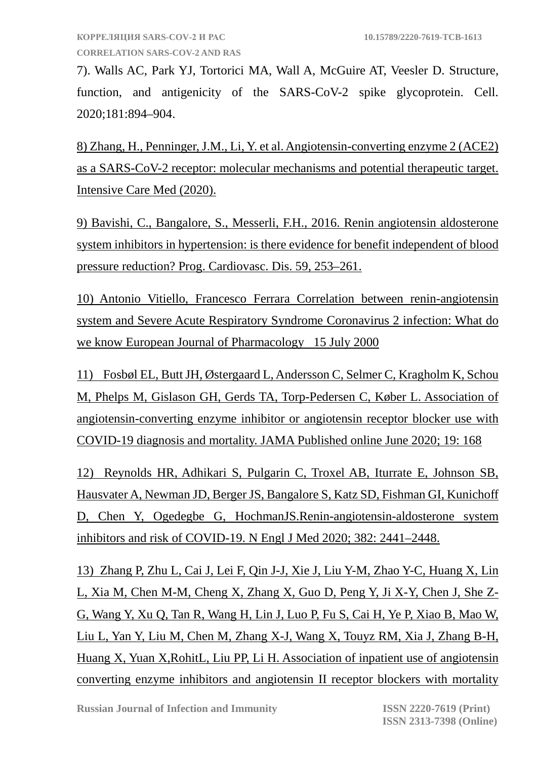7). Walls AC, Park YJ, Tortorici MA, Wall A, McGuire AT, Veesler D. Structure, function, and antigenicity of the SARS-CoV-2 spike glycoprotein. Cell. 2020;181:894–904.

8) Zhang, H., Penninger, J.M., Li, Y. et al. Angiotensin-converting enzyme 2 (ACE2) as a SARS-CoV-2 receptor: molecular mechanisms and potential therapeutic target. Intensive Care Med (2020).

9) Bavishi, C., Bangalore, S., Messerli, F.H., 2016. Renin angiotensin aldosterone system inhibitors in hypertension: is there evidence for benefit independent of blood pressure reduction? Prog. Cardiovasc. Dis. 59, 253–261.

10) Antonio Vitiello, Francesco Ferrara Correlation between renin-angiotensin system and Severe Acute Respiratory Syndrome Coronavirus 2 infection: What do we know European Journal of Pharmacology 15 July 2000

11) Fosbøl EL, Butt JH, Østergaard L, Andersson C, Selmer C, Kragholm K, Schou M, Phelps M, Gislason GH, Gerds TA, Torp-Pedersen C, Køber L. Association of angiotensin-converting enzyme inhibitor or angiotensin receptor blocker use with COVID-19 diagnosis and mortality. JAMA Published online June 2020; 19: 168

12) Reynolds HR, Adhikari S, Pulgarin C, Troxel AB, Iturrate E, Johnson SB, Hausvater A, Newman JD, Berger JS, Bangalore S, Katz SD, Fishman GI, Kunichoff D, Chen Y, Ogedegbe G, HochmanJS.Renin-angiotensin-aldosterone system inhibitors and risk of COVID-19. N Engl J Med 2020; 382: 2441–2448.

13) Zhang P, Zhu L, Cai J, Lei F, Qin J-J, Xie J, Liu Y-M, Zhao Y-C, Huang X, Lin L, Xia M, Chen M-M, Cheng X, Zhang X, Guo D, Peng Y, Ji X-Y, Chen J, She Z-G, Wang Y, Xu Q, Tan R, Wang H, Lin J, Luo P, Fu S, Cai H, Ye P, Xiao B, Mao W, Liu L, Yan Y, Liu M, Chen M, Zhang X-J, Wang X, Touyz RM, Xia J, Zhang B-H, Huang X, Yuan X,RohitL, Liu PP, Li H. Association of inpatient use of angiotensin converting enzyme inhibitors and angiotensin II receptor blockers with mortality